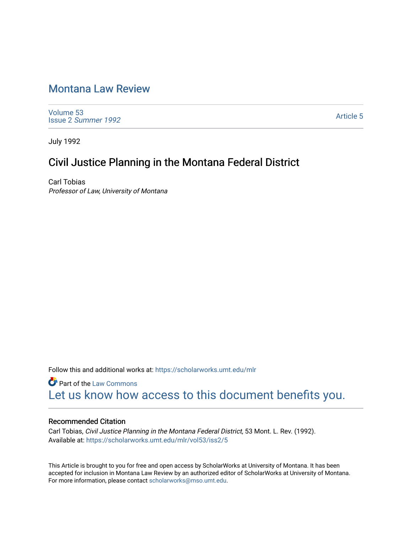# [Montana Law Review](https://scholarworks.umt.edu/mlr)

[Volume 53](https://scholarworks.umt.edu/mlr/vol53) Issue 2 [Summer 1992](https://scholarworks.umt.edu/mlr/vol53/iss2) 

[Article 5](https://scholarworks.umt.edu/mlr/vol53/iss2/5) 

July 1992

# Civil Justice Planning in the Montana Federal District

Carl Tobias Professor of Law, University of Montana

Follow this and additional works at: [https://scholarworks.umt.edu/mlr](https://scholarworks.umt.edu/mlr?utm_source=scholarworks.umt.edu%2Fmlr%2Fvol53%2Fiss2%2F5&utm_medium=PDF&utm_campaign=PDFCoverPages) 

**Part of the [Law Commons](http://network.bepress.com/hgg/discipline/578?utm_source=scholarworks.umt.edu%2Fmlr%2Fvol53%2Fiss2%2F5&utm_medium=PDF&utm_campaign=PDFCoverPages)** [Let us know how access to this document benefits you.](https://goo.gl/forms/s2rGfXOLzz71qgsB2) 

## Recommended Citation

Carl Tobias, Civil Justice Planning in the Montana Federal District, 53 Mont. L. Rev. (1992). Available at: [https://scholarworks.umt.edu/mlr/vol53/iss2/5](https://scholarworks.umt.edu/mlr/vol53/iss2/5?utm_source=scholarworks.umt.edu%2Fmlr%2Fvol53%2Fiss2%2F5&utm_medium=PDF&utm_campaign=PDFCoverPages) 

This Article is brought to you for free and open access by ScholarWorks at University of Montana. It has been accepted for inclusion in Montana Law Review by an authorized editor of ScholarWorks at University of Montana. For more information, please contact [scholarworks@mso.umt.edu.](mailto:scholarworks@mso.umt.edu)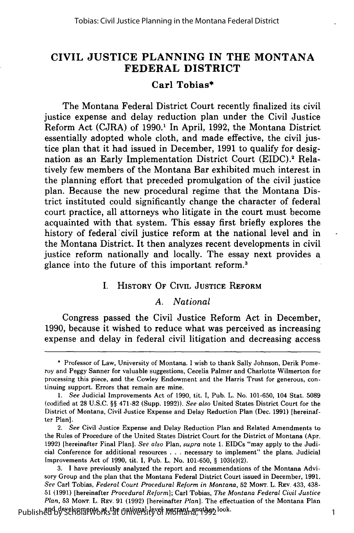# **CIVIL JUSTICE PLANNING IN THE MONTANA FEDERAL DISTRICT**

#### **Carl Tobias\***

The Montana Federal District Court recently finalized its civil justice expense and delay reduction plan under the Civil Justice Reform Act **(CJRA)** of **1990.1** In April, **1992,** the Montana District essentially adopted whole cloth, and made effective, the civil justice plan that it had issued in December, **1991** to qualify for designation as an Early Implementation District Court (EIDC).<sup>2</sup> Relatively few members of the Montana Bar exhibited much interest in the planning effort that preceded promulgation of the civil justice plan. Because the new procedural regime that the Montana District instituted could significantly change the character of federal court practice, all attorneys who litigate in the court must become acquainted with that system. This essay first briefly explores the history of federal'civil justice reform at the national level and in the Montana District. It then analyzes recent developments in civil justice reform nationally and locally. The essay next provides a glance into the future of this important reform.3

# I. HISTORY **OF CIVIL JUSTICE REFORM**

#### *A. National*

Congress passed the Civil Justice Reform Act in December, **1990,** because it wished to reduce what was perceived as increasing expense and delay in federal civil litigation and decreasing access

**<sup>\*</sup>** Professor of Law, University of Montana. **I** wish to thank Sally Johnson, Derik Pomeroy and Peggy Sanner for valuable suggestions, Cecelia Palmer and Charlotte Wilmerton for processing this piece, and the Cowley Endowment and the Harris Trust for generous, continuing support. Errors that remain are mine.

*<sup>1.</sup>* See Judicial Improvements Act of **1990,** tit. I, Pub. L. No. **101-650,** 104 Stat. **5089** (codified at **28 U.S.C. §§ 471-82** (Supp. **1992)).** *See also* United States District Court for the District of Montana, Civil Justice Expense and Delay Reduction Plan (Dec. **1991)** [hereinafter Plan].

<sup>2.</sup> *See* Civil Justice Expense and Delay Reduction Plan and Related Amendments to the Rules of Procedure of the United States District Court for the District of Montana (Apr. **1992)** [hereinafter Final Plan]. *See also* Plan, *supra* note **1.** EIDCs "may apply to the Judicial Conference for additional resources **. . .**necessary to implement" the plans. Judicial Improvements Act of **1990,** tit. I, Pub. L. No. **101-650, §** 103(c)(2).

**<sup>3.</sup> I** have previously analyzed the report and recommendations of the Montana Advisory Group and the plan that the Montana Federal District Court issued in December, **1991.** *See* Carl Tobias, *Federal Court Procedural Reform in Montana,* **52 MONT.** L. REV. 433, 438- **51 (1991)** [hereinafter *Procedural Reform];* Carl Tobias, *The Montana Federal Civil Justice Plan,* **53 MONT. L.** REV. **91 (1992)** [hereinafter *Plan].* The effectuation of the Montana Plan Published by ScholarWorks at the untiversity of Montana, 1995 look. 21 Published by ScholarWorks 1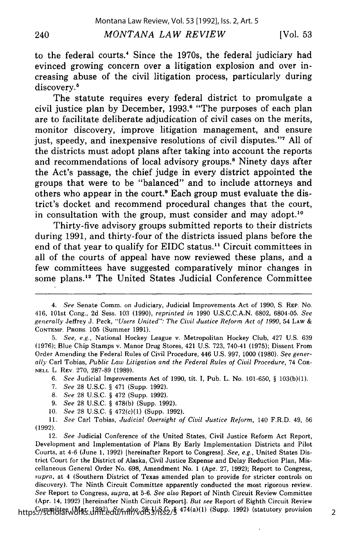#### *MONTANA LAW REVIEW*

to the federal courts.' Since the 1970s, the federal judiciary had evinced growing concern over a litigation explosion and over increasing abuse of the civil litigation process, particularly during discovery.<sup>5</sup>

The statute requires every federal district to promulgate a civil justice plan **by** December, **1993.8** "The purposes of each plan are to facilitate deliberate adjudication of civil cases on the merits, monitor discovery, improve litigation management, and ensure just, speedy, and inexpensive resolutions of civil disputes."' **All** of the districts must adopt plans after taking into account the reports and recommendations of local advisory groups.<sup>8</sup> Ninety days after the Act's passage, the chief judge in every district appointed the groups that were to be "balanced" and to include attorneys and others who appear in the court.<sup>9</sup> Each group must evaluate the district's docket and recommend procedural changes that the court, in consultation with the group, must consider and may adopt.<sup>10</sup>

Thirty-five advisory groups submitted reports to their districts during **1991,** and thirty-four of the districts issued plans before the end of that year to qualify for EIDC status." Circuit committees in all of the courts of appeal have now reviewed these plans, and a few committees have suggested comparatively minor changes in some plans.'2 The United States Judicial Conference Committee

6. *See* Judicial Improvements Act of 1990, tit. I, Pub. L. No. 101-650, § 103(b)(1).

8. *See* 28 U.S.C. § 472 (Supp. 1992).

9. *See* 28 U.S.C. § 478(b) (Supp. 1992).

10. *See* 28 U.S.C. § 472(c)(1) (Supp. 1992).

11. *See* Carl Tobias, *Judicial Oversight of Civil Justice Reform,* 140 F.R.D. 49, 56 (1992).

12. *See* Judicial Conference of the United States, Civil Justice Reform Act Report, Development and Implementation of Plans By Early Implementation Districts and Pilot Courts, at 4-6 (June 1, 1992) [hereinafter Report to Congress]. *See, e.g.,* United States District Court for the District of Alaska, Civil Justice Expense and Delay Reduction Plan, Miscellaneous General Order No. 698, Amendment No. 1 (Apr. 27, 1992); Report to Congress, *supra,* at 4 (Southern District of Texas amended plan to provide for stricter controls on discovery). The Ninth Circuit Committee apparently conducted the most rigorous review. *See* Report to Congress, *supra,* at 5-6. *See also* Report of Ninth Circuit Review Committee (Apr. 14, 1992) [hereinafter Ninth Circuit Report]. *But see* Report of Eighth Circuit Review https://gemitfan/blac.umcedu/mlr/vol53/iss2/§ 474(a)(1) (Supp. 1992) (statutory provision

*<sup>4.</sup> See* Senate Comm. on Judiciary, Judicial Improvements Act of 1990, S. **REP.** No. 416, 101st Cong., 2d Sess. 103 (1990), *reprinted in* 1990 U.S.C.C.A.N. 6802, 6804-05. *See generally* Jeffrey J. Peck, *"Users United": The Civil Justice Reform Act of 1990,* 54 **LAW** & **CONTEMP.** PROBS. 105 (Summer 1991).

*<sup>5.</sup> See, e.g.,* National Hockey League v. Metropolitan Hockey Club, 427 U.S. 639 (1976); Blue Chip Stamps v. Manor Drug Stores, 421 U.S. 723, 740-41 (1975); Dissent From Order Amending the Federal Rules of Civil Procedure, 446 U.S. 997, **1000** (1980). *See generally* Carl Tobias, *Public Law Litigation and the Federal Rules of Civil Procedure,* 74 COR-**NELL** L. REV. 270, 287-89 (1989).

<sup>7.</sup> *See* 28 U.S.C. § 471 (Supp. 1992).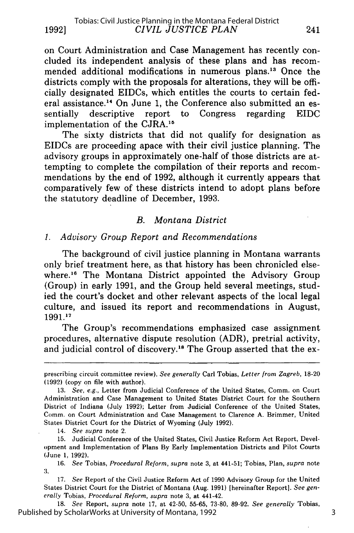on Court Administration and Case Management has recently concluded its independent analysis of these plans and has recommended additional modifications in numerous plans.<sup>13</sup> Once the districts comply with the proposals for alterations, they will be officially designated EIDCs, which entitles the courts to certain federal assistance.<sup>14</sup> On June 1, the Conference also submitted an essentially descriptive report to Congress regarding EIDC implementation of the CJRA.<sup>15</sup>

The sixty districts that did not qualify for designation as EIDCs are proceeding apace with their civil justice planning. The advisory groups in approximately one-half of those districts are attempting to complete the compilation of their reports and recommendations by the end of 1992, although it currently appears that comparatively few of these districts intend to adopt plans before the statutory deadline of December, 1993.

## *B. Montana District*

## *1. Advisory Group Report and Recommendations*

The background of civil justice planning in Montana warrants only brief treatment here, as that history has been chronicled elsewhere.<sup>16</sup> The Montana District appointed the Advisory Group (Group) in early 1991, and the Group held several meetings, studied the court's docket and other relevant aspects of the local legal culture, and issued its report and recommendations in August, 1991.<sup>17</sup>

The Group's recommendations emphasized case assignment procedures, alternative dispute resolution (ADR), pretrial activity, and judicial control of discovery.<sup>18</sup> The Group asserted that the ex-

14. *See supra* note 2.

18. *See* Report, *supra* note 17, at 42-50, 55-65, 73-80, 89-92. *See generally* Tobias, Published by ScholarWorks at University of Montana, 1992

3

prescribing circuit committee review). *See generally* Carl Tobias, *Letter from Zagreb,* 18-20 (1992) (copy on file with author).

<sup>13.</sup> *See, e.g.,* Letter from Judicial Conference of the United States, Comm. on Court Administration and Case Management to United States District Court for the Southern District of Indiana (July 1992); Letter from Judicial Conference of the United States, Comm. on Court Administration and Case Management to Clarence A. Brimmer, United States District Court for the District of Wyoming (July 1992).

<sup>15.</sup> Judicial Conference of the United States, Civil Justice Reform Act Report, Development and Implementation of Plans By Early Implementation Districts and Pilot Courts (June 1, 1992).

<sup>16.</sup> *See* Tobias, *Procedural Reform, supra* note 3, at 441-51; Tobias, Plan, *supra* note **:3.**

<sup>17.</sup> *See* Report of the Civil Justice Reform Act of 1990 Advisory Group for the United States District Court for the District of Montana (Aug. 1991) [hereinafter Report]. *See generally* Tobias, *Procedural Reform, supra* note 3, at 441-42.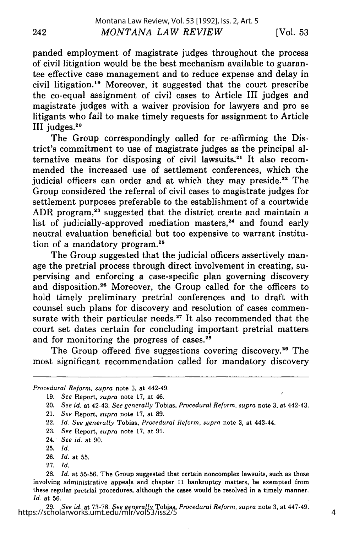panded employment of magistrate judges throughout the process of civil litigation would be the best mechanism available to guarantee effective case management and to reduce expense and delay in civil litigation.<sup>19</sup> Moreover, it suggested that the court prescribe the co-equal assignment of civil cases to Article III judges and magistrate judges with a waiver provision for lawyers and pro se litigants who fail to make timely requests for assignment to Article III judges.<sup>20</sup>

The Group correspondingly called for re-affirming the District's commitment to use of magistrate judges as the principal alternative means for disposing of civil lawsuits.<sup>21</sup> It also recommended the increased use of settlement conferences, which the judicial officers can order and at which they may preside.<sup>22</sup> The Group considered the referral of civil cases to magistrate judges for settlement purposes preferable to the establishment of a courtwide ADR program,<sup>23</sup> suggested that the district create and maintain a list of judicially-approved mediation masters,<sup>24</sup> and found early neutral evaluation beneficial but too expensive to warrant institution of a mandatory program.<sup>25</sup>

The Group suggested that the judicial officers assertively manage the pretrial process through direct involvement in creating, supervising and enforcing a case-specific plan governing discovery and disposition.26 Moreover, the Group called for the officers to hold timely preliminary pretrial conferences and to draft with counsel such plans for discovery and resolution of cases commensurate with their particular needs.<sup>27</sup> It also recommended that the court set dates certain for concluding important pretrial matters and for monitoring the progress of cases.<sup>28</sup>

The Group offered five suggestions covering discovery.<sup>29</sup> The most significant recommendation called for mandatory discovery

23. *See* Report, *supra* note 17, at 91.

27. *Id.*

*Procedural Reform, supra* note 3, at 442-49.

<sup>19.</sup> *See* Report, *supra* note 17, at 46.

<sup>20.</sup> *See id.* at 42-43. *See generally* Tobias, *Procedural Reform, supra* note 3, at 442-43.

<sup>21.</sup> *See* Report, *supra* note 17, at 89.

<sup>22.</sup> *Id. See generally* Tobias, *Procedural Reform, supra* note 3, at 443-44.

<sup>24.</sup> *See id.* at 90.

<sup>25.</sup> *Id.*

<sup>26.</sup> *Id.* at 55.

<sup>28.</sup> *Id.* at 55-56. The Group suggested that certain noncomplex lawsuits, such as those involving administrative appeals and chapter 11 bankruptcy matters, be exempted from these regular pretrial procedures, although the cases would be resolved in a timely manner. *Id.* at 56.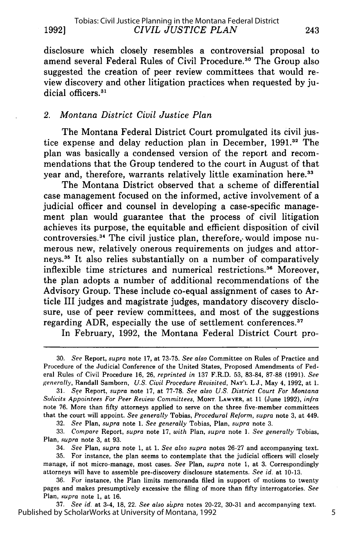disclosure which closely resembles a controversial proposal to amend several Federal Rules of Civil Procedure.<sup>30</sup> The Group also suggested the creation of peer review committees that would review discovery and other litigation practices when requested by judicial officers.<sup>31</sup>

## *2. Montana District Civil Justice Plan*

The Montana Federal District Court promulgated its civil justice expense and delay reduction plan in December, **1991.3'** The plan was basically a condensed version of the report and recommendations that the Group tendered to the court in August of that year and, therefore, warrants relatively little examination here.<sup>33</sup>

The Montana District observed that a scheme of differential case management focused on the informed, active involvement of a judicial officer and counsel in developing a case-specific management plan would guarantee that the process of civil litigation achieves its purpose, the equitable and efficient disposition of civil controversies.<sup>34</sup> The civil justice plan, therefore, would impose numerous new, relatively onerous requirements on judges and attorneys.<sup>35</sup> It also relies substantially on a number of comparatively inflexible time strictures and numerical restrictions.<sup>36</sup> Moreover, the plan adopts a number of additional recommendations of the Advisory Group. These include co-equal assignment of cases to Article III judges and magistrate judges, mandatory discovery disclosure, use of peer review committees, and most of the suggestions regarding ADR, especially the use of settlement conferences.<sup>37</sup>

In February, 1992, the Montana Federal District Court pro-

32. *See* Plan, *supra* note 1. *See generally* Tobias, Plan, *supra* note 3.

33. *Compare* Report, *supra* note 17, *with* Plan, *supra* note 1. *See generally* Tobias, Plan, *supra* note 3, at 93.

34. *See* Plan, *supra* note 1, at 1. *See also supra* notes 26-27 and accompanying text.

35. For instance, the plan seems to contemplate that the judicial officers will closely manage, if not micro-manage, most cases. *See* Plan, *supra* note 1, at 3. Correspondingly attorneys will have to assemble pre-discovery disclosure statements. *See id.* at 10-13.

36. For instance, the Plan limits memoranda filed in support of motions to twenty pages and makes presumptively excessive the filing of more than fifty interrogatories. *See* Plan, *supra* note 1, at 16.

37. *See id.* at 3-4, 18, 22. *See also supra* notes 20-22, 30-31 and accompanying text. Published by ScholarWorks at University of Montana, 1992

<sup>30.</sup> *See* Report, *supra* note 17, at 73-75. *See also* Committee on Rules of Practice and Procedure of the Judicial Conference of the United States, Proposed Amendments of Federal Rules of Civil Procedure 16, 26, *reprinted in* 137 F.R.D. 53, 83-84, 87-88 (1991). *See generally,* Randall Samborn, *U.S. Civil Procedure Revisited,* **NAT'L** L.J., May 4, 1992, at 1.

<sup>31.</sup> *See* Report, *supra* note 17, at 77-78. *See also U.S. District Court For Montana Solicits Appointees For Peer Review Committees,* **MONT.** LAWYER, at 11 (June 1992), *infra* note 76. More than fifty attorneys applied to serve on the three five-member committees that the court will appoint. *See generally* Tobias, *Procedural Reform, supra* note 3, at 449.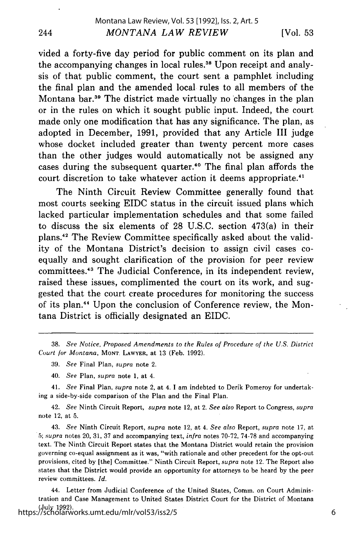vided a forty-five day period for public comment on its plan and the accompanying changes in local rules.<sup>38</sup> Upon receipt and analysis of that public comment, the court sent a pamphlet including the final plan and the amended local rules to all members of the Montana bar.3" The district made virtually no changes in the plan or in the rules on which it sought public input. Indeed, the court made only one modification that has any significance. The plan, as adopted in December, 1991, provided that any Article III judge whose docket included greater than twenty percent more cases than the other judges would automatically not be assigned any cases during the subsequent quarter.<sup>40</sup> The final plan affords the court discretion to take whatever action it deems appropriate.<sup>41</sup>

The Ninth Circuit Review Committee generally found that most courts seeking EIDC status in the circuit issued plans which lacked particular implementation schedules and that some failed to discuss the six elements of 28 U.S.C. section 473(a) in their plans.42 The Review Committee specifically asked about the validity of the Montana District's decision to assign civil cases coequally and sought clarification of the provision for peer review committees.43 The Judicial Conference, in its independent review, raised these issues, complimented the court on its work, and suggested that the court create procedures for monitoring the success of its plan.4 4 Upon the conclusion of Conference review, the Montana District is officially designated an EIDC.

- 39. *See* Final Plan, *supra* note 2.
- 40. *See* Plan, *supra* note 1, at 4.

41. *See* Final Plan, *supra* note 2, at 4. I am indebted to Derik Pomeroy for undertaking a side-by-side comparison of the Plan and the Final Plan.

42. *See* Ninth Circuit Report, *supra* note 12, at 2. *See also* Report to Congress, *supra* note 12, at 5.

43. *See* Ninth Circuit Report, *supra* note 12, at 4. *See also* Report, *supra* note 17, at 5; *supra* notes 20, 31, 37 and accompanying text, *infra* notes 70-72, 74-78 and accompanying text. The Ninth Circuit Report states that the Montana District would retain the provision governing co-equal assignment as it was, "with rationale and other precedent for the opt-out provisions, cited by [the] Committee." Ninth Circuit Report, *supra* note 12. The Report also states that the District would provide an opportunity for attorneys to be heard by the peer review committees. *Id.*

44. Letter from Judicial Conference of the United States, Comm. on Court Administration and Case Management to United States District Court for the District of Montana (July 1992). https://scholarworks.umt.edu/mlr/vol53/iss2/5

<sup>38.</sup> *See Notice, Proposed Amendments to the Rules of Procedure of the U.S. District Court for Montana,* **MONT.** LAWYER, at 13 (Feb. 1992).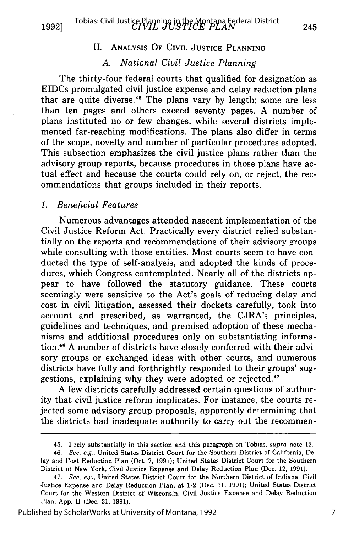**1992]**

## II. **ANALYSIS OF CIVIL JUSTICE PLANNING**

## *A. National Civil Justice Planning*

The thirty-four federal courts that qualified for designation as EIDCs promulgated civil justice expense and delay reduction plans that are quite diverse.45 The plans vary **by** length; some are less than ten pages and others exceed seventy pages. **A** number of plans instituted no or few changes, while several districts implemented far-reaching modifications. The plans also differ in terms of the scope, novelty and number of particular procedures adopted. This subsection emphasizes the civil justice plans rather than the advisory group reports, because procedures in those plans have actual effect and because the courts could rely on, or reject, the recommendations that groups included in their reports.

#### **1.** *Beneficial Features*

Numerous advantages attended nascent implementation of the Civil Justice Reform Act. Practically every district relied substantially on the reports and recommendations of their advisory groups while consulting with those entities. Most courts seem to have conducted the type of self-analysis, and adopted the kinds of procedures, which Congress contemplated. Nearly all of the districts appear to have followed the statutory guidance. These courts seemingly were sensitive to the Act's goals of reducing delay and cost in civil litigation, assessed their dockets carefully, took into account and prescribed, as warranted, the CJRA's principles, guidelines and techniques, and premised adoption of these mechanisms and additional procedures only on substantiating information.4" **A** number of districts have closely conferred with their advisory groups or exchanged ideas with other courts, and numerous districts have fully and forthrightly responded to their groups' suggestions, explaining why they were adopted or rejected.<sup>47</sup>

**A** few districts carefully addressed certain questions of authority that civil justice reform implicates. For instance, the courts rejected some advisory group proposals, apparently determining that the districts had inadequate authority to carry out the recommen-

Published by ScholarWorks at University of Montana, 1992

<sup>45.</sup> **1** rely substantially in this section and this paragraph on Tobias, *supra* note 12.

<sup>46.</sup> See, *e.g.,* United States District Court for the Southern District of California, Delay and Cost Reduction Plan (Oct. **7, 1991);** United States District Court for the Southern District of New York, Civil Justice Expense and Delay Reduction Plan (Dec. 12, **1991).**

<sup>47.</sup> *See, e.g.,* United States District Court for the Northern District of Indiana, Civil Justice Expense and Delay Reduction Plan, at 1-2 (Dec. **31, 1991);** United States District Court for the Western District of Wisconsin, Civil Justice Expense and Delay Reduction Plan, **App. II** (Dec. **31, 1991).**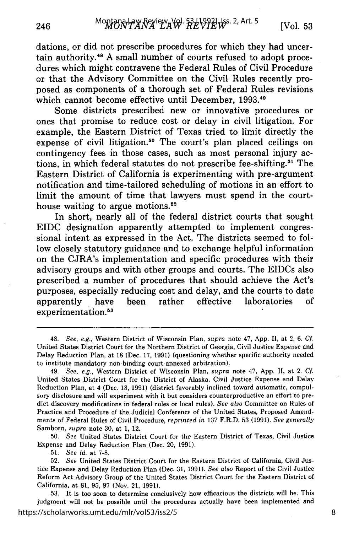dations, or did not prescribe procedures for which they had uncertain authority. " **A** small number of courts refused to adopt procedures which might contravene the Federal Rules of Civil Procedure or that the Advisory Committee on the Civil Rules recently proposed as components of a thorough set of Federal Rules revisions which cannot become effective until December, 1993.<sup>49</sup>

Some districts prescribed new or innovative procedures or ones that promise to reduce cost or delay in civil litigation. For example, the Eastern District of Texas tried to limit directly the expense of civil litigation.<sup>50</sup> The court's plan placed ceilings on contingency fees in those cases, such as most personal injury actions, in which federal statutes do not prescribe fee-shifting.5' The Eastern District of California is experimenting with pre-argument notification and time-tailored scheduling of motions in an effort to limit the amount of time that lawyers must spend in the courthouse waiting to argue motions.<sup>52</sup>

In short, nearly all of the federal district courts that sought **EIDC** designation apparently attempted to implement congressional intent as expressed in the Act. The districts seemed to follow closely statutory guidance and to exchange helpful information on the CJRA's implementation and specific procedures with their advisory groups and with other groups and courts. The EIDCs also prescribed a number of procedures that should achieve the Act's purposes, especially reducing cost and delay, and the courts to date apparently have been rather effective laboratories of experimentation.<sup>53</sup>

**50.** *See* United States District Court for the Eastern District of Texas, Civil Justice Expense and Delay Reduction Plan (Dec. 20, **1991).**

**51.** *See id.* at **7-8.**

246

**53.** It is too soon to determine conclusively how efficacious the districts will be. This judgment will not be possible until the procedures actually have been implemented and https://scholarworks.umt.edu/mlr/vol53/iss2/5

<sup>48.</sup> See, e.g., Western District of Wisconsin Plan, supra note 47, **App. I,** at 2, **6. Cf.** United States District Court for the Northern District of Georgia, Civil Justice Expense and Delay Reduction Plan, at **18** (Dec. **17, 1991)** (questioning whether specific authority needed to institute mandatory non-binding court-annexed arbitration).

<sup>49.</sup> *See, e.g.,* Western District of Wisconsin Plan, *supra* note 47, **App. II,** at 2. *Cf.* United States District Court for the District of Alaska, Civil Justice Expense and Delay Reduction Plan, at 4 (Dec. **13, 1991)** (district favorably inclined toward automatic, compulsory disclosure and will experiment with it but considers counterproductive an effort to predict discovery modifications in federal rules or local rules). *See also* Committee on Rules of Practice and Procedure of the Judicial Conference of the United States, Proposed Amendments of Federal Rules of Civil Procedure, *reprinted in* **137** F.R.D. **53 (1991).** *See generally* Samborn, *supra* note **30,** at **1,** 12.

**<sup>52.</sup>** *See* United States District Court for the Eastern District of California, Civil Justice Expense and Delay Reduction Plan (Dec. **31, 1991).** *See also* Report of the Civil Justice Reform Act Advisory Group of the United States District Court for the Eastern District of California, at **81, 95, 97** (Nov. 21, **1991).**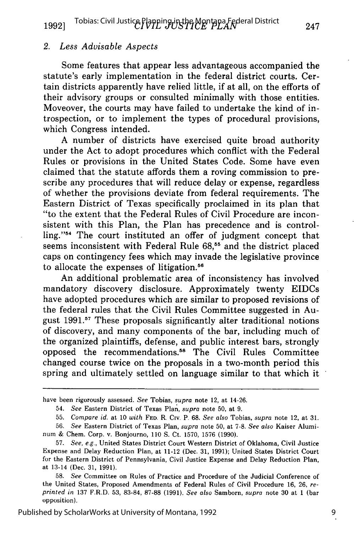#### *2. Less Advisable Aspects*

Some features that appear less advantageous accompanied the statute's early implementation in the federal district courts. Certain districts apparently have relied little, if at all, on the efforts of their advisory groups or consulted minimally with those entities. Moveover, the courts may have failed to undertake the kind of introspection, or to implement the types of procedural provisions, which Congress intended.

A number of districts have exercised quite broad authority under the Act to adopt procedures which conflict with the Federal Rules or provisions in the United States Code. Some have even claimed that the statute affords them a roving commission to prescribe any procedures that will reduce delay or expense, regardless of whether the provisions deviate from federal requirements. The Eastern District of Texas specifically proclaimed in its plan that "to the extent that the Federal Rules of Civil Procedure are inconsistent with this Plan, the Plan has precedence and is controlling."54 The court instituted an offer of judgment concept that seems inconsistent with Federal Rule 68,<sup>55</sup> and the district placed caps on contingency fees which may invade the legislative province to allocate the expenses of litigation.<sup>56</sup>

An additional problematic area of inconsistency has involved mandatory discovery disclosure. Approximately twenty EIDCs have adopted procedures which are similar to proposed revisions of the federal rules that the Civil Rules Committee suggested in August 1991.<sup>57</sup> These proposals significantly alter traditional notions of discovery, and many components of the bar, including much of the organized plaintiffs, defense, and public interest bars, strongly opposed the recommendations. 8 The Civil Rules Committee changed course twice on the proposals in a two-month period this spring and ultimately settled on language similar to that which it

have been rigorously assessed. *See* Tobias, supra note 12, at 14-26.

<sup>54.</sup> *See* Eastern District of Texas Plan, *supra* note 50, at 9.

<sup>55.</sup> *Compare id.* at *10 with* **FED.** R. Civ. P. 68. *See also* Tobias, *supra* note 12, at 31.

<sup>56.</sup> *See* Eastern District of Texas Plan, *supra* note 50, at 7-8. *See also* Kaiser Aluminum & Chem. Corp. v. Bonjourno, **110** S. Ct. 1570, 1576 (1990).

<sup>57.</sup> *See, e.g.,* United States District Court Western District of Oklahoma, Civil Justice Expense and Delay Reduction Plan, at 11-12 (Dec. 31, 1991); United States District Court for the Eastern District of Pennsylvania, Civil Justice Expense and Delay Reduction Plan, at 13-14 (Dec. 31, 1991).

<sup>58.</sup> *See* Committee on Rules of Practice and Procedure of the Judicial Conference of the United States, Proposed Amendments of Federal Rules of Civil Procedure 16, 26, *reprinted in* 137 F.R.D. 53, 83-84, 87-88 (1991). *See also* Samborn, *supra* note 30 at **I** (bar opposition).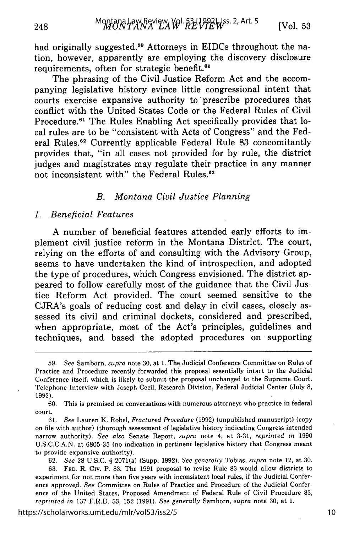had originally suggested.<sup>59</sup> Attorneys in EIDCs throughout the nation, however, apparently are employing the discovery disclosure requirements, often for strategic benefit.<sup>60</sup>

The phrasing of the Civil Justice Reform Act and the accompanying legislative history evince little congressional intent that courts exercise expansive authority to prescribe procedures that conflict with the United States Code or the Federal Rules of Civil Procedure.<sup>61</sup> The Rules Enabling Act specifically provides that local rules are to be "consistent with Acts of Congress" and the Federal Rules.<sup>62</sup> Currently applicable Federal Rule 83 concomitantly provides that, "in all cases not provided for by rule, the district judges and magistrates may regulate their practice in any manner not inconsistent with" the Federal Rules.<sup>63</sup>

## *B. Montana Civil Justice Planning*

#### *1. Beneficial Features*

A number of beneficial features attended early efforts to implement civil justice reform in the Montana District. The court, relying on the efforts of and consulting with the Advisory Group, seems to have undertaken the kind of introspection, and adopted the type of procedures, which Congress envisioned. The district appeared to follow carefully most of the guidance that the Civil Justice Reform Act provided. The court seemed sensitive to the CJRA's goals of reducing cost and delay in civil cases, closely assessed its civil and criminal dockets, considered and prescribed, when appropriate, most of the Act's principles, guidelines and techniques, and based the adopted procedures on supporting

<sup>59.</sup> *See* Samborn, *supra* note 30, at 1. The Judicial Conference Committee on Rules of Practice and Procedure recently forwarded this proposal essentially intact to the Judicial Conference itself, which is likely to submit the proposal unchanged to the Supreme Court. Telephone Interview with Joseph Cecil, Research Division, Federal Judicial Center (July 8, 1992).

<sup>60.</sup> This is premised on conversations with numerous attorneys who practice in federal court.

<sup>61.</sup> *See* Lauren K. Robel, *Fractured Procedure* (1992) (unpublished manuscript) (copy on file with author) (thorough assessment of legislative history indicating Congress intended narrow authority). *See also* Senate Report, *supra* note 4, at 3-31, *reprinted in* 1990 U.S.C.C.A.N. at 6805-35 (no indication in pertinent legislative history that Congress meant to provide expansive authority).

<sup>62.</sup> *See* 28 U.S.C. § 2071(a) (Supp. 1992). *See generally* Tobias, *supra* note 12, at 30. 63. **FED.** R. Civ. P. 83. The 1991 proposal to revise Rule 83 would allow districts to experiment for not more than five years with inconsistent local rules, if the Judicial Conference approved. *See* Committee on Rules of Practice and Procedure of the Judicial Conference of the United States, Proposed Amendment of Federal Rule of Civil Procedure 83, *reprinted in* 137 F.R.D. 53, 152 (1991). *See generally* Samborn, *supra* note 30, at 1.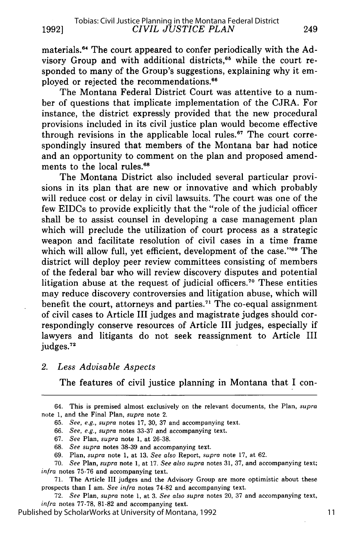materials.<sup>64</sup> The court appeared to confer periodically with the Advisory Group and with additional districts,<sup>65</sup> while the court responded to many of the Group's suggestions, explaining why it employed or rejected the recommendations. <sup>66</sup>

The Montana Federal District Court was attentive to a number of questions that implicate implementation of the CJRA. For instance, the district expressly provided that the new procedural provisions included in its civil justice plan would become effective through revisions in the applicable local rules.<sup>67</sup> The court correspondingly insured that members of the Montana bar had notice and an opportunity to comment on the plan and proposed amendments to the local rules.<sup>68</sup>

The Montana District also included several particular provisions in its plan that are new or innovative and which probably will reduce cost or delay in civil lawsuits. The court was one of the few EIDCs to provide explicitly that the "role of the judicial officer shall be to assist counsel in developing a case management plan which will preclude the utilization of court process as a strategic weapon and facilitate resolution of civil cases in a time frame which will allow full, yet efficient, development of the case."<sup>69</sup> The district will deploy peer review committees consisting of members of the federal bar who will review discovery disputes and potential litigation abuse at the request of judicial officers.<sup>70</sup> These entities may reduce discovery controversies and litigation abuse, which will benefit the court, attorneys and parties.<sup>71</sup> The co-equal assignment of civil cases to Article III judges and magistrate judges should correspondingly conserve resources of Article III judges, especially if lawyers and litigants do not seek reassignment to Article III judges.<sup>72</sup>

*2. Less Advisable Aspects*

The features of civil justice planning in Montana that I con-

- 68. *See supra* notes 38-39 and accompanying text.
- 69. Plan, *supra* note 1, at 13. *See also* Report, *supra* note 17, at 62.

71. The Article III judges and the Advisory Group are more optimistic about these prospects than I am. *See infra* notes 74-82 and accompanying text.

72. *See* Plan, *supra* note 1, at 3. *See also supra* notes 20, 37 and accompanying text, *infra* notes 77-78, 81-82 and accompanying text.

Published by ScholarWorks at University of Montana, 1992

<sup>64.</sup> This is premised almost exclusively on the relevant documents, the Plan, supra note 1, and the Final Plan, *supra* note 2.

<sup>65.</sup> *See, e.g., supra* notes 17, 30, 37 and accompanying text.

<sup>66.</sup> *See, e.g., supra* notes 33-37 and accompanying text.

<sup>67.</sup> *See* Plan, *supra* note 1, at 26-38.

<sup>70.</sup> *See* Plan, *supra* note 1, at 17. *See also supra* notes 31, 37, and accompanying text; *infra* notes 75-76 and accompanying text.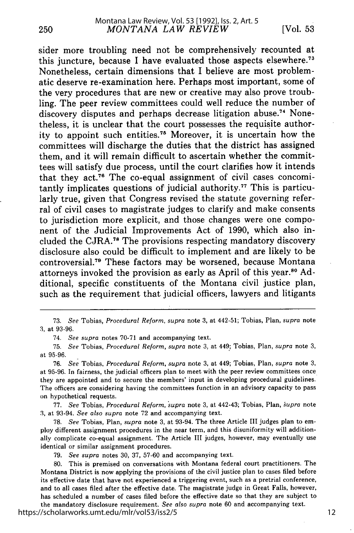sider more troubling need not be comprehensively recounted at this juncture, because I have evaluated those aspects elsewhere.<sup>7</sup> Nonetheless, certain dimensions that I believe are most problematic deserve re-examination here. Perhaps most important, some of the very procedures that are new or creative may also prove troubling. The peer review committees could well reduce the number of discovery disputes and perhaps decrease litigation abuse.<sup>74</sup> Nonetheless, it is unclear that the court possesses the requisite authority to appoint such entities.75 Moreover, it is uncertain how the committees will discharge the duties that the district has assigned them, and it will remain difficult to ascertain whether the committees will satisfy due process, until the court clarifies how it intends that they act.<sup>76</sup> The co-equal assignment of civil cases concomitantly implicates questions of judicial authority. 77 This is particularly true, given that Congress revised the statute governing referral of civil cases to magistrate judges to clarify and make consents to jurisdiction more explicit, and those changes were one component of the Judicial Improvements Act of **1990,** which also included the CJRA.<sup>78</sup> The provisions respecting mandatory discovery disclosure also could be difficult to implement and are likely to be controversial.7" These factors may be worsened, because Montana attorneys invoked the provision as early as April of this year.<sup>80</sup> Additional, specific constituents of the Montana civil justice plan, such as the requirement that judicial officers, lawyers and litigants

74. *See supra* notes **70-71** and accompanying text.

**75.** *See* Tobias, *Procedural Reform, supra* note **3,** at 449; Tobias, Plan, *supra* note **3,** at **95-96.**

**76.** *See* Tobias, *Procedural Reform, supra* note **3,** at 449; Tobias, Plan, *supra* note **3,** at **95-96.** In fairness, the judicial officers plan to meet with the peer review committees once they are appointed and to secure the members' input in developing procedural guidelines. The officers are considering having the committees function in an advisory capacity to pass on hypothetical requests.

**77.** *See* Tobias, *Procedural Reform, supra* note **3,** at 442-43; Tobias, Plan, *upra* note **3,** at 93-94. *See also supra* note **72** and accompanying text.

**78.** *See* Tobias, Plan, *supra* note **3,** at 93-94. The three Article III judges plan to employ different assignment procedures in the near term, and this disuniformity will additionally complicate co-equal assignment. The Article **III** judges, however, may eventually use identical or similar assignment procedures.

**79.** *See supra* notes **30, 37, 57-60** and accompanying text.

**80.** This is premised on conversations with Montana federal court practitioners. The Montana District is now applying the provisions of the civil justice plan to cases filed before its effective date that have not experienced a triggering event, such as a pretrial conference, and to all cases filed after the effective date. The magistrate judge in Great Falls, however, has scheduled a number of cases filed before the effective date so that they are subject to the mandatory disclosure requirement. *See also supra* note **60** and accompanying text.

https://scholarworks.umt.edu/mlr/vol53/iss2/5

**<sup>73.</sup>** See Tobias, *Procedural Reform, supra* note **3,** at 442-51; Tobias, Plan, *supra* note **3,** at **93-96.**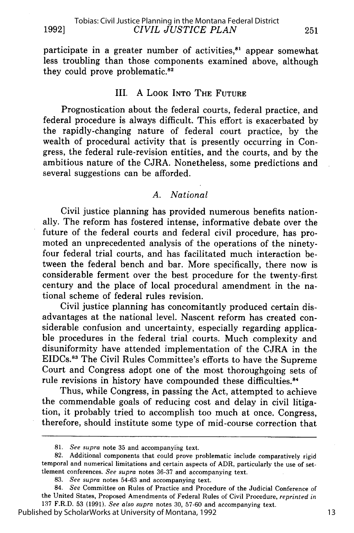participate in a greater number of activities,<sup>81</sup> appear somewhat less troubling than those components examined above, although they could prove problematic. $82$ 

# III. A LOOK INTO THE **FUTURE**

Prognostication about the federal courts, federal practice, and federal procedure is always difficult. This effort is exacerbated by the rapidly-changing nature of federal court practice, by the wealth of procedural activity that is presently occurring in Congress, the federal rule-revision entities, and the courts, and by the ambitious nature of the CJRA. Nonetheless, some predictions and several suggestions can be afforded.

## *A. National*

Civil justice planning has provided numerous benefits nationally. The reform has fostered intense, informative debate over the future of the federal courts and federal civil procedure, has promoted an unprecedented analysis of the operations of the ninetyfour federal trial courts, and has facilitated much interaction between the federal bench and bar. More specifically, there now is considerable ferment over the best procedure for the twenty-first century and the place of local procedural amendment in the national scheme of federal rules revision.

Civil justice planning has concomitantly produced certain disadvantages at the national level. Nascent reform has created considerable confusion and uncertainty, especially regarding applicable procedures in the federal trial courts. Much complexity and disuniformity have attended implementation of the CJRA in the EIDCs13 The Civil Rules Committee's efforts to have the Supreme Court and Congress adopt one of the most thoroughgoing sets of rule revisions in history have compounded these difficulties.<sup>84</sup>

Thus, while Congress, in passing the Act, attempted to achieve the commendable goals of reducing cost and delay in civil litigation, it probably tried to accomplish too much at once. Congress, therefore, should institute some type of mid-course correction that

83. *See supra* notes 54-63 and accompanying text.

Published by ScholarWorks at University of Montana, 1992

<sup>81.</sup> *See supra* note 35 and accompanying text.

<sup>82.</sup> Additional components that could prove problematic include comparatively rigid temporal and numerical limitations and certain aspects of ADR, particularly the use of settlement conferences. *See supra* notes 36-37 and accompanying text.

<sup>84.</sup> *See* Committee on Rules of Practice and Procedure of the Judicial Conference of the United States, Proposed Amendments of Federal Rules of Civil Procedure, *reprinted in* 137 F.R.D. 53 (1991). *See also supra* notes 30, 57-60 and accompanying text.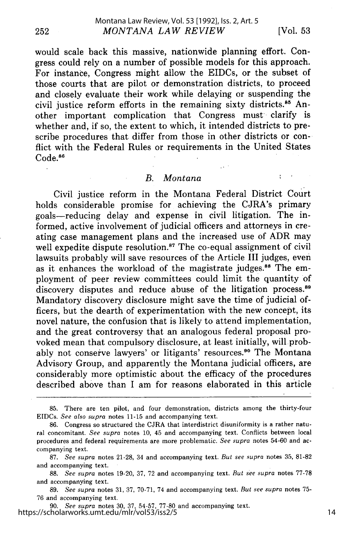252

÷

would scale back this massive, nationwide planning effort. Congress could rely on a number of possible models for this approach. For instance, Congress might allow the EIDCs, or the subset of those courts that are pilot or demonstration districts, to proceed and closely evaluate their work while delaying or suspending the civil justice reform efforts in the remaining sixty districts.<sup>85</sup> Another important complication that Congress must clarify is whether and, if so, the extent to which, it intended districts to prescribe procedures that differ from those in other districts or conflict with the Federal Rules or requirements in the United States Code.<sup>86</sup>

#### *B. Montana*

Civil justice reform in the Montana Federal District Court holds considerable promise for achieving the CJRA's primary goals-reducing delay and expense in civil litigation. The informed, active involvement of judicial officers and attorneys in creating case management plans and the increased use of ADR may well expedite dispute resolution.<sup>87</sup> The co-equal assignment of civil lawsuits probably will save resources of the Article III judges, even as it enhances the workload of the magistrate judges.<sup>88</sup> The employment of peer review committees could limit the quantity of discovery disputes and reduce abuse of the litigation process.<sup>89</sup> Mandatory discovery disclosure might save the time of judicial officers, but the dearth of experimentation with the new concept, its novel nature, the confusion that is likely to attend implementation, and the great controversy that an analogous federal proposal provoked mean that compulsory disclosure, at least initially, will probably not conserve lawyers' or litigants' resources.<sup>90</sup> The Montana Advisory Group, and apparently the Montana judicial officers, are considerably more optimistic about the efficacy of the procedures described above than I am for reasons elaborated in this article

89. *See supra* notes 31, 37, 70-71, 74 and accompanying text. *But see supra* notes 75- 76 and accompanying text.

90. *See supra* notes 30, 37, 54-57, 77-80 and accompanying text. https://scholarworks.umt.edu/mlr/vol53/iss2/5

<sup>85.</sup> There are ten pilot, and four demonstration, districts among the thirty-four EIDCs. See also supra notes 11-15 and accompanying text.

<sup>86.</sup> Congress so structured the CJRA that interdistrict disuniformity is a rather natural concomitant. See supra notes 10, 45 and accompanying text. Conflicts between local procedures and federal requirements are more problematic. *See supra* notes 54-60 and accompanying text.

<sup>87.</sup> *See supra* notes 21-28, 34 and accompanying text. *But see supra* notes 35, 81-82 and accompanying text.

<sup>88.</sup> *See supra* notes 19-20, 37, 72 and accompanying text. *But see supra* notes 77-78 and accompanying text.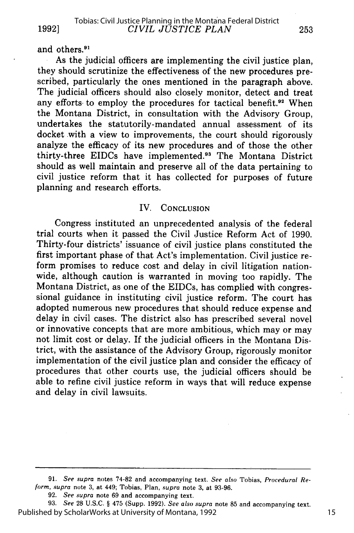**1992]**

and others.<sup>91</sup>

As the judicial officers are implementing the civil justice plan, they should scrutinize the effectiveness of the new procedures pre- scribed, particularly the ones mentioned in the paragraph above. The iudicial officers should also closely monitor, detect and treat any efforts to employ the procedures for tactical benefit.<sup>92</sup> When the Montana District, in consultation with the Advisory Group, undertakes the statutorily-mandated annual assessment of its docket with a view to improvements, the court should rigorously analyze the efficacy of its new procedures and of those the other thirty-three EIDCs have implemented.<sup>93</sup> The Montana District should as well maintain and preserve all of the data pertaining to civil justice reform that it has collected for purposes of future planning and research efforts.

### IV. CONCLUSION

Congress instituted an unprecedented analysis of the federal trial courts when it passed the Civil Justice Reform Act of 1990. Thirty-four districts' issuance of civil justice plans constituted the first important phase of that Act's implementation. Civil justice reform promises to reduce cost and delay in civil litigation nationwide, although caution is warranted in moving too rapidly. The Montana District, as one of the EIDCs, has complied with congressional guidance in instituting civil justice reform. The court has adopted numerous new procedures that should reduce expense and delay in civil cases. The district also has prescribed several novel or innovative concepts that are more ambitious, which may or may not limit cost or delay. If the judicial officers in the Montana District, with the assistance of the Advisory Group, rigorously monitor implementation of the civil justice plan and consider the efficacy of procedures that other courts use, the judicial officers should be able to refine civil justice reform in ways that will reduce expense and delay in civil lawsuits.

<sup>91.</sup> *See supra* notes 74-82 and accompanying text. *See also* Tobias, *Procedural Reform, supra* note 3, at 449; Tobias, Plan, *supra* note 3, at 93-96.

<sup>92.</sup> *See supra* note 69 and accompanying text.

**<sup>93.</sup>** *See* 28 U.S.C. § 475 (Supp. 1992). *See also supra* note 85 and accompanying text. Published by ScholarWorks at University of Montana, 1992